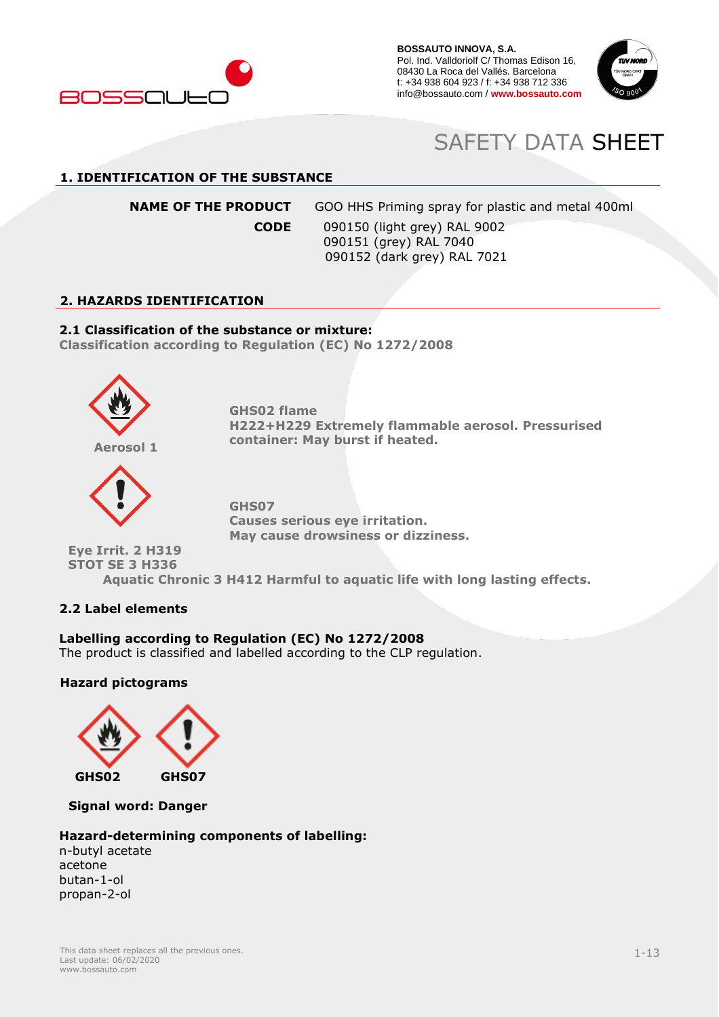



# SAFETY DATA SHEET

# **1. IDENTIFICATION OF THE SUBSTANCE**

**NAME OF THE PRODUCT** GOO HHS Priming spray for plastic and metal 400ml

**CODE** 090150 (light grey) RAL 9002 090151 (grey) RAL 7040 090152 (dark grey) RAL 7021

## **2. HAZARDS IDENTIFICATION**

# **2.1 Classification of the substance or mixture:**

**Classification according to Regulation (EC) No 1272/2008**



**GHS02 flame H222+H229 Extremely flammable aerosol. Pressurised container: May burst if heated.**



**GHS07 Causes serious eye irritation. May cause drowsiness or dizziness.**

**Eye Irrit. 2 H319 STOT SE 3 H336**

**Aquatic Chronic 3 H412 Harmful to aquatic life with long lasting effects.**

# **2.2 Label elements**

# **Labelling according to Regulation (EC) No 1272/2008**

The product is classified and labelled according to the CLP regulation.

## **Hazard pictograms**



**Signal word: Danger**

## **Hazard-determining components of labelling:**

n-butyl acetate acetone butan-1-ol propan-2-ol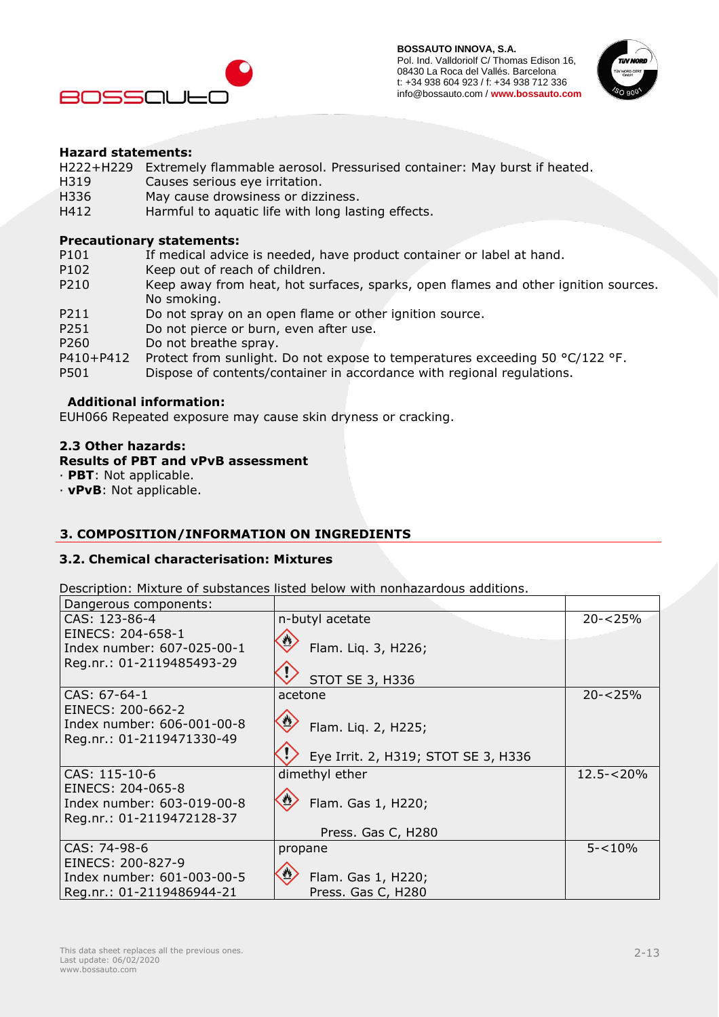



## **Hazard statements:**

H222+H229 Extremely flammable aerosol. Pressurised container: May burst if heated.

- H319 Causes serious eye irritation.
- H336 May cause drowsiness or dizziness.<br>H412 Harmful to aquatic life with long las
- Harmful to aquatic life with long lasting effects.

#### **Precautionary statements:**

- P101 If medical advice is needed, have product container or label at hand.
- P102 Keep out of reach of children.<br>P210 Keep away from heat, hot sur
- Keep away from heat, hot surfaces, sparks, open flames and other ignition sources. No smoking.
- P211 Do not spray on an open flame or other ignition source.
- P251 Do not pierce or burn, even after use.
- P260 Do not breathe spray.
- P410+P412 Protect from sunlight. Do not expose to temperatures exceeding 50 °C/122 °F.
- P501 Dispose of contents/container in accordance with regional regulations.

## **Additional information:**

EUH066 Repeated exposure may cause skin dryness or cracking.

#### **2.3 Other hazards:**

#### **Results of PBT and vPvB assessment**

· **PBT**: Not applicable.

· **vPvB**: Not applicable.

# **3. COMPOSITION/INFORMATION ON INGREDIENTS**

## **3.2. Chemical characterisation: Mixtures**

Description: Mixture of substances listed below with nonhazardous additions.

| Dangerous components:      |                                     |              |
|----------------------------|-------------------------------------|--------------|
| CAS: 123-86-4              | n-butyl acetate                     | $20 - 25%$   |
| EINECS: 204-658-1          |                                     |              |
| Index number: 607-025-00-1 | Flam. Liq. 3, H226;                 |              |
| Reg.nr.: 01-2119485493-29  |                                     |              |
|                            | <b>STOT SE 3, H336</b>              |              |
| $CAS: 67-64-1$             | acetone                             | $20 - 25%$   |
| EINECS: 200-662-2          |                                     |              |
| Index number: 606-001-00-8 | Flam. Liq. 2, H225;                 |              |
| Reg.nr.: 01-2119471330-49  |                                     |              |
|                            | Eye Irrit. 2, H319; STOT SE 3, H336 |              |
| CAS: 115-10-6              | dimethyl ether                      | $12.5 - 20%$ |
| EINECS: 204-065-8          |                                     |              |
| Index number: 603-019-00-8 | Flam. Gas 1, H220;                  |              |
| Reg.nr.: 01-2119472128-37  |                                     |              |
|                            | Press. Gas C, H280                  |              |
| CAS: 74-98-6               | propane                             | $5 - 10%$    |
| EINECS: 200-827-9          |                                     |              |
| Index number: 601-003-00-5 | Flam. Gas 1, H220;                  |              |
| Reg.nr.: 01-2119486944-21  | Press. Gas C, H280                  |              |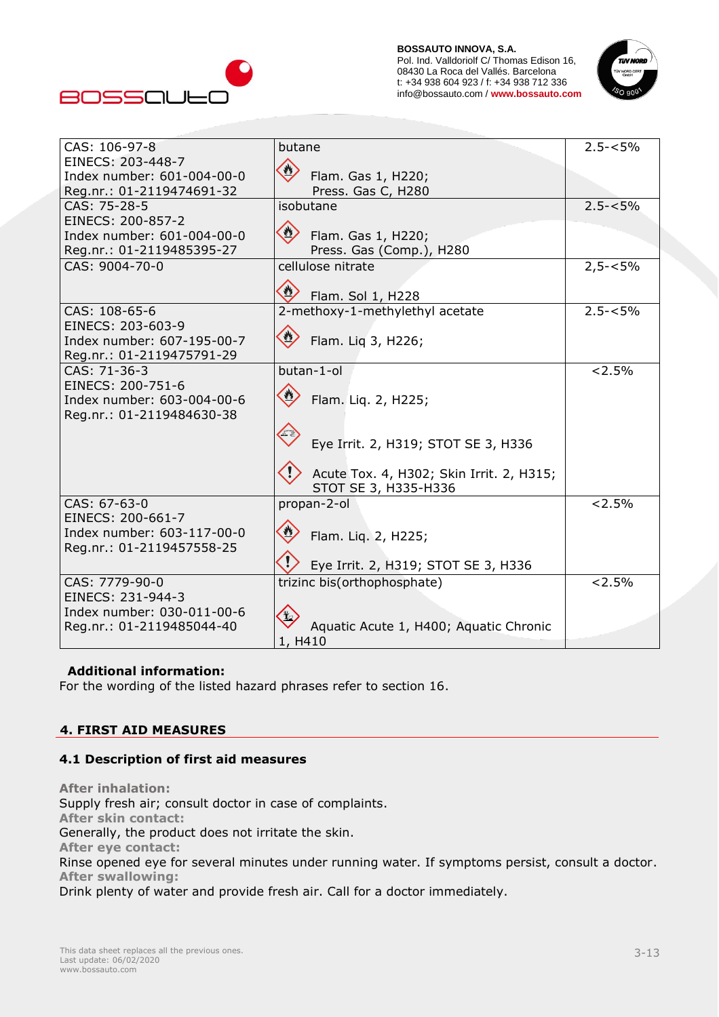



| CAS: 106-97-8                             | butane                                   | $2.5 - 5\%$ |
|-------------------------------------------|------------------------------------------|-------------|
| EINECS: 203-448-7                         |                                          |             |
| Index number: 601-004-00-0                | Flam. Gas 1, H220;                       |             |
|                                           |                                          |             |
| Reg.nr.: 01-2119474691-32<br>CAS: 75-28-5 | Press. Gas C, H280<br>isobutane          | $2.5 - 5\%$ |
|                                           |                                          |             |
| EINECS: 200-857-2                         |                                          |             |
| Index number: 601-004-00-0                | Flam. Gas 1, H220;                       |             |
| Reg.nr.: 01-2119485395-27                 | Press. Gas (Comp.), H280                 |             |
| CAS: 9004-70-0                            | cellulose nitrate                        | $2,5 - 5\%$ |
|                                           | Flam. Sol 1, H228                        |             |
| CAS: 108-65-6                             | 2-methoxy-1-methylethyl acetate          | $2.5 - 5\%$ |
| EINECS: 203-603-9                         |                                          |             |
| Index number: 607-195-00-7                | Flam. Liq 3, H226;                       |             |
| Reg.nr.: 01-2119475791-29                 |                                          |             |
| CAS: 71-36-3                              | butan-1-ol                               | < 2.5%      |
| EINECS: 200-751-6                         |                                          |             |
| Index number: 603-004-00-6                | Flam. Liq. 2, H225;                      |             |
| Reg.nr.: 01-2119484630-38                 |                                          |             |
|                                           |                                          |             |
|                                           | Eye Irrit. 2, H319; STOT SE 3, H336      |             |
|                                           |                                          |             |
|                                           |                                          |             |
|                                           | Acute Tox. 4, H302; Skin Irrit. 2, H315; |             |
| CAS: 67-63-0                              | STOT SE 3, H335-H336                     | < 2.5%      |
| EINECS: 200-661-7                         | propan-2-ol                              |             |
| Index number: 603-117-00-0                |                                          |             |
|                                           | Flam. Liq. 2, H225;                      |             |
| Reg.nr.: 01-2119457558-25                 |                                          |             |
|                                           | Eye Irrit. 2, H319; STOT SE 3, H336      |             |
| CAS: 7779-90-0                            | trizinc bis(orthophosphate)              | < 2.5%      |
| EINECS: 231-944-3                         |                                          |             |
| Index number: 030-011-00-6                |                                          |             |
| Reg.nr.: 01-2119485044-40                 | Aquatic Acute 1, H400; Aquatic Chronic   |             |
|                                           | 1, H410                                  |             |

## **Additional information:**

For the wording of the listed hazard phrases refer to section 16.

## **4. FIRST AID MEASURES**

## **4.1 Description of first aid measures**

**After inhalation:** Supply fresh air; consult doctor in case of complaints. **After skin contact:** Generally, the product does not irritate the skin. **After eye contact:** Rinse opened eye for several minutes under running water. If symptoms persist, consult a doctor. **After swallowing:** Drink plenty of water and provide fresh air. Call for a doctor immediately.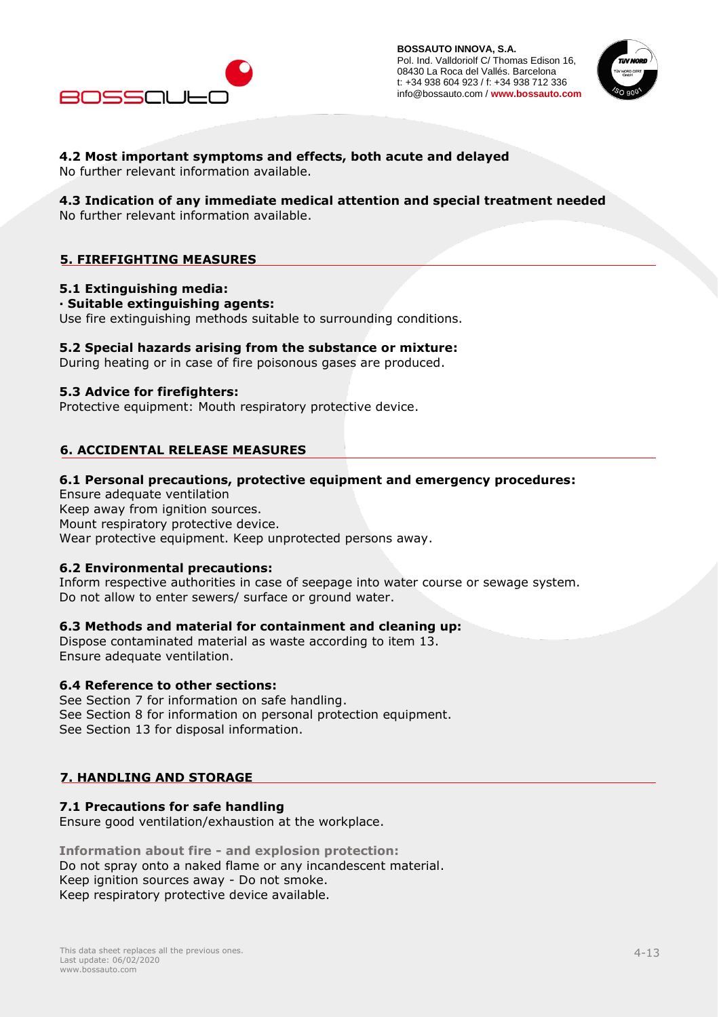



# **4.2 Most important symptoms and effects, both acute and delayed**

No further relevant information available.

## **4.3 Indication of any immediate medical attention and special treatment needed**

No further relevant information available.

# **5. FIREFIGHTING MEASURES**

## **5.1 Extinguishing media:**

#### **· Suitable extinguishing agents:**

Use fire extinguishing methods suitable to surrounding conditions.

## **5.2 Special hazards arising from the substance or mixture:**

During heating or in case of fire poisonous gases are produced.

## **5.3 Advice for firefighters:**

Protective equipment: Mouth respiratory protective device.

# **6. ACCIDENTAL RELEASE MEASURES**

## **6.1 Personal precautions, protective equipment and emergency procedures:**

Ensure adequate ventilation Keep away from ignition sources. Mount respiratory protective device. Wear protective equipment. Keep unprotected persons away.

## **6.2 Environmental precautions:**

Inform respective authorities in case of seepage into water course or sewage system. Do not allow to enter sewers/ surface or ground water.

## **6.3 Methods and material for containment and cleaning up:**

Dispose contaminated material as waste according to item 13. Ensure adequate ventilation.

## **6.4 Reference to other sections:**

See Section 7 for information on safe handling. See Section 8 for information on personal protection equipment. See Section 13 for disposal information.

# **7. HANDLING AND STORAGE**

# **7.1 Precautions for safe handling**

Ensure good ventilation/exhaustion at the workplace.

**Information about fire - and explosion protection:** Do not spray onto a naked flame or any incandescent material. Keep ignition sources away - Do not smoke. Keep respiratory protective device available.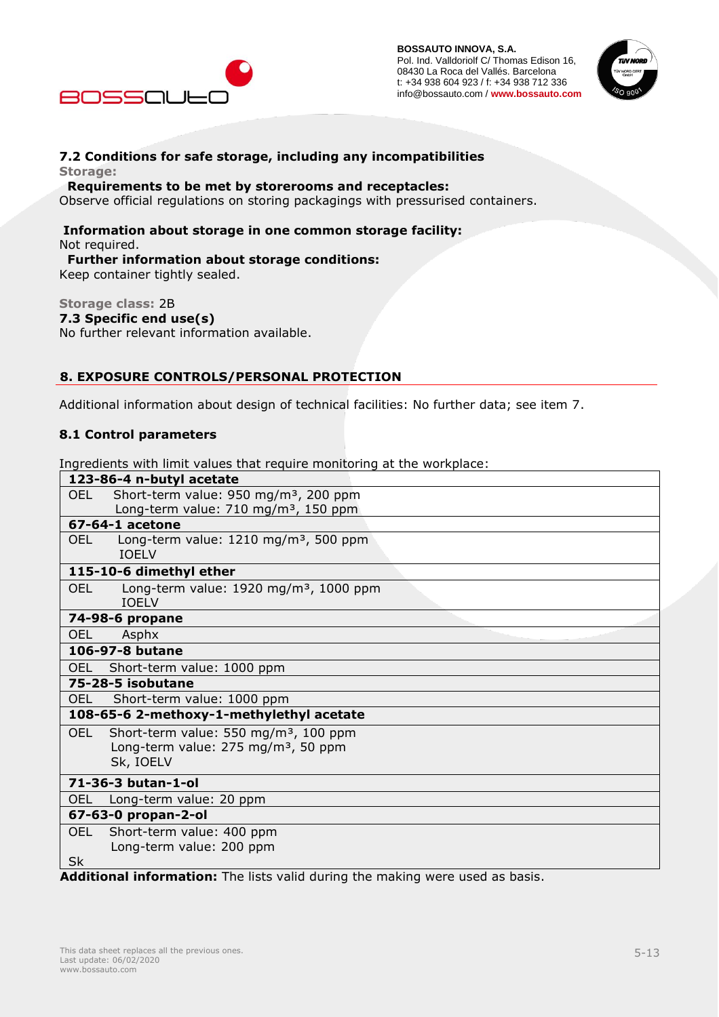



## **7.2 Conditions for safe storage, including any incompatibilities Storage:**

#### **Requirements to be met by storerooms and receptacles:**

Observe official regulations on storing packagings with pressurised containers.

## **Information about storage in one common storage facility:** Not required.

#### **Further information about storage conditions:**

Keep container tightly sealed.

## **Storage class:** 2B

**7.3 Specific end use(s)** No further relevant information available.

# **8. EXPOSURE CONTROLS/PERSONAL PROTECTION**

Additional information about design of technical facilities: No further data; see item 7.

## **8.1 Control parameters**

Ingredients with limit values that require monitoring at the workplace:

| 123-86-4 n-butyl acetate                                                           |  |
|------------------------------------------------------------------------------------|--|
| Short-term value: 950 mg/m <sup>3</sup> , 200 ppm<br>OEL.                          |  |
| Long-term value: 710 mg/m <sup>3</sup> , 150 ppm                                   |  |
| 67-64-1 acetone                                                                    |  |
| Long-term value: 1210 mg/m <sup>3</sup> , 500 ppm<br>OEL.<br><b>TOFIV</b>          |  |
| 115-10-6 dimethyl ether                                                            |  |
| <b>OEL</b><br>Long-term value: $1920$ mg/m <sup>3</sup> , 1000 ppm<br><b>IOELV</b> |  |
| 74-98-6 propane                                                                    |  |
| OEL.<br>Asphx                                                                      |  |
| 106-97-8 butane                                                                    |  |
| Short-term value: 1000 ppm<br><b>OEL</b>                                           |  |
| 75-28-5 isobutane                                                                  |  |
| Short-term value: 1000 ppm<br>OEL                                                  |  |
| 108-65-6 2-methoxy-1-methylethyl acetate                                           |  |
| Short-term value: 550 mg/m <sup>3</sup> , 100 ppm<br><b>OEL</b>                    |  |
| Long-term value: 275 mg/m <sup>3</sup> , 50 ppm                                    |  |
| Sk, IOELV                                                                          |  |
| 71-36-3 butan-1-ol                                                                 |  |
| Long-term value: 20 ppm<br>OEL.                                                    |  |
| 67-63-0 propan-2-ol                                                                |  |
| <b>OEL</b><br>Short-term value: 400 ppm                                            |  |
| Long-term value: 200 ppm                                                           |  |
| <b>Sk</b>                                                                          |  |
| Additional information: The lists valid during the making were used as basis.      |  |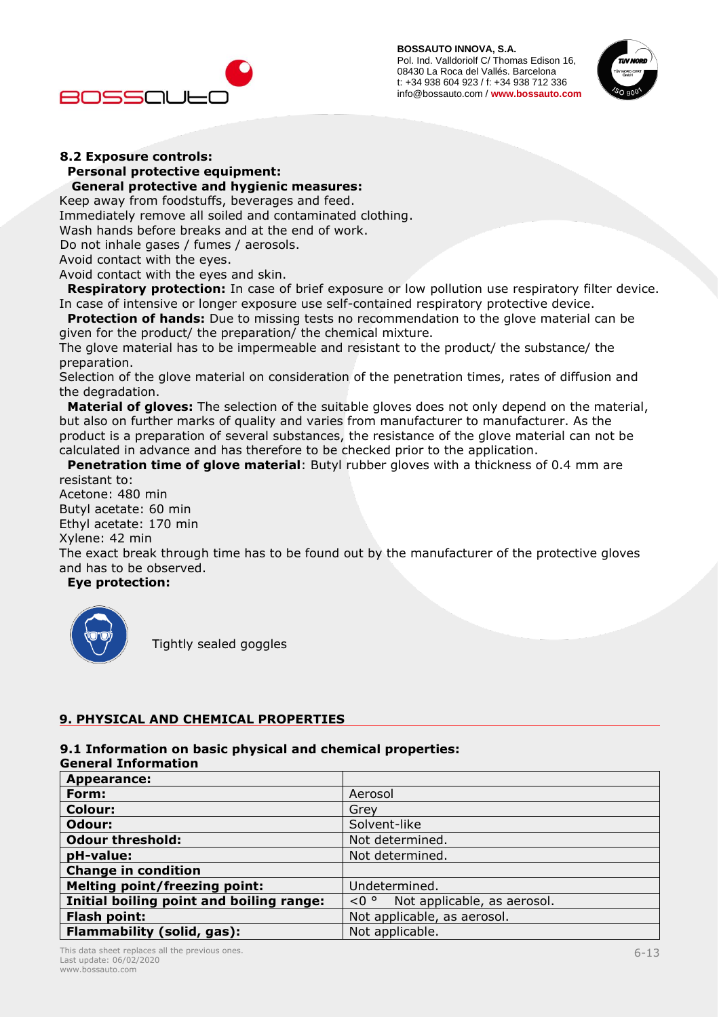#### **BOSSAUTO INNOVA, S.A.**

Pol. Ind. Valldoriolf C/ Thomas Edison 16, 08430 La Roca del Vallés. Barcelona t: +34 938 604 923 / f: +34 938 712 336 info@bossauto.com / **www.bossauto.com**





#### **8.2 Exposure controls: Personal protective equipment: General protective and hygienic measures:**

Keep away from foodstuffs, beverages and feed.

Immediately remove all soiled and contaminated clothing.

Wash hands before breaks and at the end of work.

Do not inhale gases / fumes / aerosols.

Avoid contact with the eyes.

Avoid contact with the eyes and skin.

 **Respiratory protection:** In case of brief exposure or low pollution use respiratory filter device. In case of intensive or longer exposure use self-contained respiratory protective device.

**Protection of hands:** Due to missing tests no recommendation to the glove material can be given for the product/ the preparation/ the chemical mixture.

The glove material has to be impermeable and resistant to the product/ the substance/ the preparation.

Selection of the glove material on consideration of the penetration times, rates of diffusion and the degradation.

 **Material of gloves:** The selection of the suitable gloves does not only depend on the material, but also on further marks of quality and varies from manufacturer to manufacturer. As the product is a preparation of several substances, the resistance of the glove material can not be calculated in advance and has therefore to be checked prior to the application.

**Penetration time of glove material:** Butyl rubber gloves with a thickness of 0.4 mm are resistant to:

Acetone: 480 min Butyl acetate: 60 min Ethyl acetate: 170 min Xylene: 42 min The exact break through time has to be found out by the manufacturer of the protective gloves and has to be observed.

 **Eye protection:**



Tightly sealed goggles

# **9. PHYSICAL AND CHEMICAL PROPERTIES**

## **9.1 Information on basic physical and chemical properties:**

#### **General Information**

| Appearance:                              |                                     |
|------------------------------------------|-------------------------------------|
| Form:                                    | Aerosol                             |
| <b>Colour:</b>                           | Grev                                |
| Odour:                                   | Solvent-like                        |
| <b>Odour threshold:</b>                  | Not determined.                     |
| pH-value:                                | Not determined.                     |
| <b>Change in condition</b>               |                                     |
| <b>Melting point/freezing point:</b>     | Undetermined.                       |
| Initial boiling point and boiling range: | $< 0$ ° Not applicable, as aerosol. |
| <b>Flash point:</b>                      | Not applicable, as aerosol.         |
| Flammability (solid, gas):               | Not applicable.                     |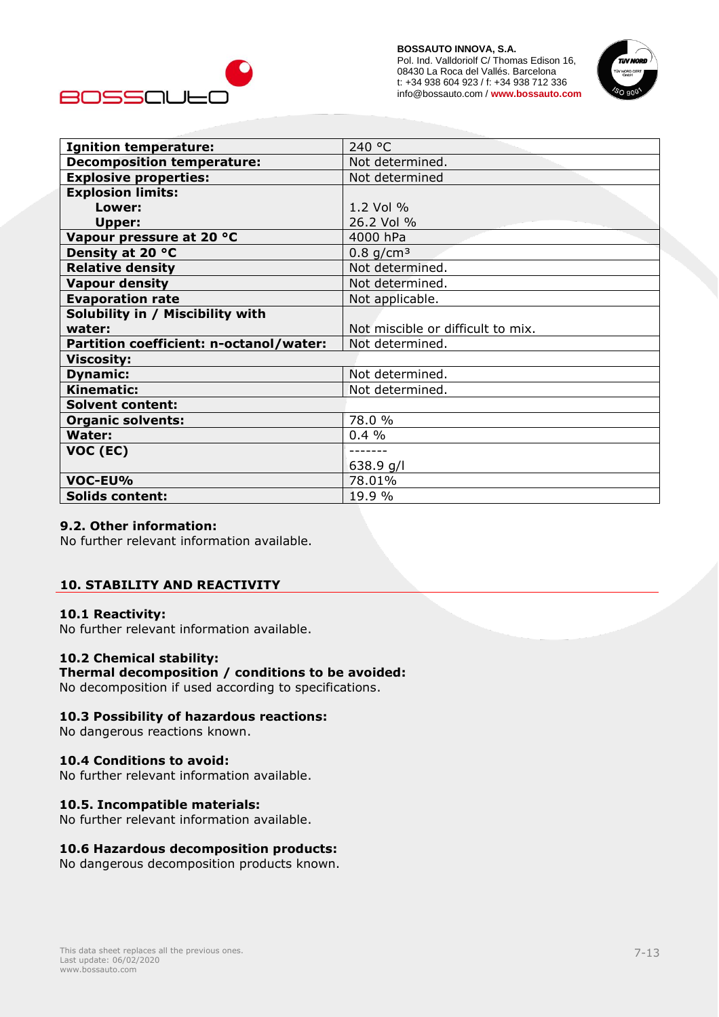



| <b>Ignition temperature:</b>            | 240 °C                            |
|-----------------------------------------|-----------------------------------|
| <b>Decomposition temperature:</b>       | Not determined.                   |
| <b>Explosive properties:</b>            | Not determined                    |
| <b>Explosion limits:</b>                |                                   |
| Lower:                                  | 1.2 Vol %                         |
| <b>Upper:</b>                           | 26.2 Vol %                        |
| Vapour pressure at 20 °C                | 4000 hPa                          |
| Density at 20 °C                        | $0.8$ g/cm <sup>3</sup>           |
| <b>Relative density</b>                 | Not determined.                   |
| <b>Vapour density</b>                   | Not determined.                   |
| <b>Evaporation rate</b>                 | Not applicable.                   |
| Solubility in / Miscibility with        |                                   |
| water:                                  | Not miscible or difficult to mix. |
| Partition coefficient: n-octanol/water: | Not determined.                   |
| <b>Viscosity:</b>                       |                                   |
| <b>Dynamic:</b>                         | Not determined.                   |
| <b>Kinematic:</b>                       | Not determined.                   |
| <b>Solvent content:</b>                 |                                   |
| <b>Organic solvents:</b>                | 78.0 %                            |
| <b>Water:</b>                           | 0.4%                              |
| VOC (EC)                                | -------                           |
|                                         | 638.9 g/l                         |
| VOC-EU%                                 | 78.01%                            |
| <b>Solids content:</b>                  | 19.9 %                            |

## **9.2. Other information:**

No further relevant information available.

## **10. STABILITY AND REACTIVITY**

#### **10.1 Reactivity:**

No further relevant information available.

# **10.2 Chemical stability:**

# **Thermal decomposition / conditions to be avoided:**

No decomposition if used according to specifications.

## **10.3 Possibility of hazardous reactions:**

No dangerous reactions known.

## **10.4 Conditions to avoid:**

No further relevant information available.

## **10.5. Incompatible materials:**

No further relevant information available.

## **10.6 Hazardous decomposition products:**

No dangerous decomposition products known.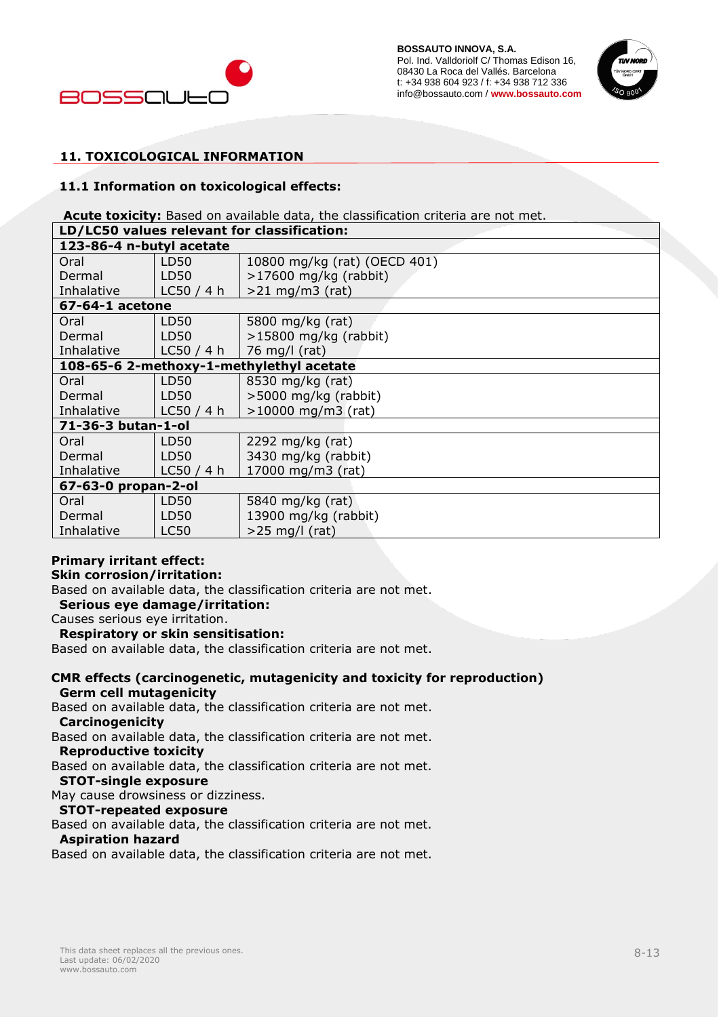



# **11. TOXICOLOGICAL INFORMATION**

#### **11.1 Information on toxicological effects:**

Acute toxicity: Based on available data, the classification criteria are not met.

| LD/LC50 values relevant for classification: |             |                              |
|---------------------------------------------|-------------|------------------------------|
| 123-86-4 n-butyl acetate                    |             |                              |
| Oral                                        | LD50        | 10800 mg/kg (rat) (OECD 401) |
| Dermal                                      | LD50        | $>17600$ mg/kg (rabbit)      |
| Inhalative                                  | LC50/4 h    | $>21$ mg/m3 (rat)            |
| 67-64-1 acetone                             |             |                              |
| Oral                                        | LD50        | 5800 mg/kg (rat)             |
| Dermal                                      | LD50        | $>15800$ mg/kg (rabbit)      |
| Inhalative                                  | LC50/4 h    | 76 mg/l (rat)                |
| 108-65-6 2-methoxy-1-methylethyl acetate    |             |                              |
| Oral                                        | LD50        | 8530 mg/kg (rat)             |
| Dermal                                      | LD50        | >5000 mg/kg (rabbit)         |
| Inhalative                                  | LC50/4 h    | $>10000$ mg/m3 (rat)         |
| 71-36-3 butan-1-ol                          |             |                              |
| Oral                                        | LD50        | 2292 mg/kg (rat)             |
| Dermal                                      | LD50        | 3430 mg/kg (rabbit)          |
| Inhalative                                  | LC50/4 h    | 17000 mg/m3 (rat)            |
| 67-63-0 propan-2-ol                         |             |                              |
| Oral                                        | LD50        | 5840 mg/kg (rat)             |
| Dermal                                      | LD50        | 13900 mg/kg (rabbit)         |
| Inhalative                                  | <b>LC50</b> | $>25$ mg/l (rat)             |

## **Primary irritant effect:**

## **Skin corrosion/irritation:**

Based on available data, the classification criteria are not met.

# **Serious eye damage/irritation:**

Causes serious eye irritation.

#### **Respiratory or skin sensitisation:**

Based on available data, the classification criteria are not met.

#### **CMR effects (carcinogenetic, mutagenicity and toxicity for reproduction) Germ cell mutagenicity**

Based on available data, the classification criteria are not met.

# **Carcinogenicity**

Based on available data, the classification criteria are not met.

#### **Reproductive toxicity**

Based on available data, the classification criteria are not met.

#### **STOT-single exposure**

May cause drowsiness or dizziness.

#### **STOT-repeated exposure**

Based on available data, the classification criteria are not met.

#### **Aspiration hazard**

Based on available data, the classification criteria are not met.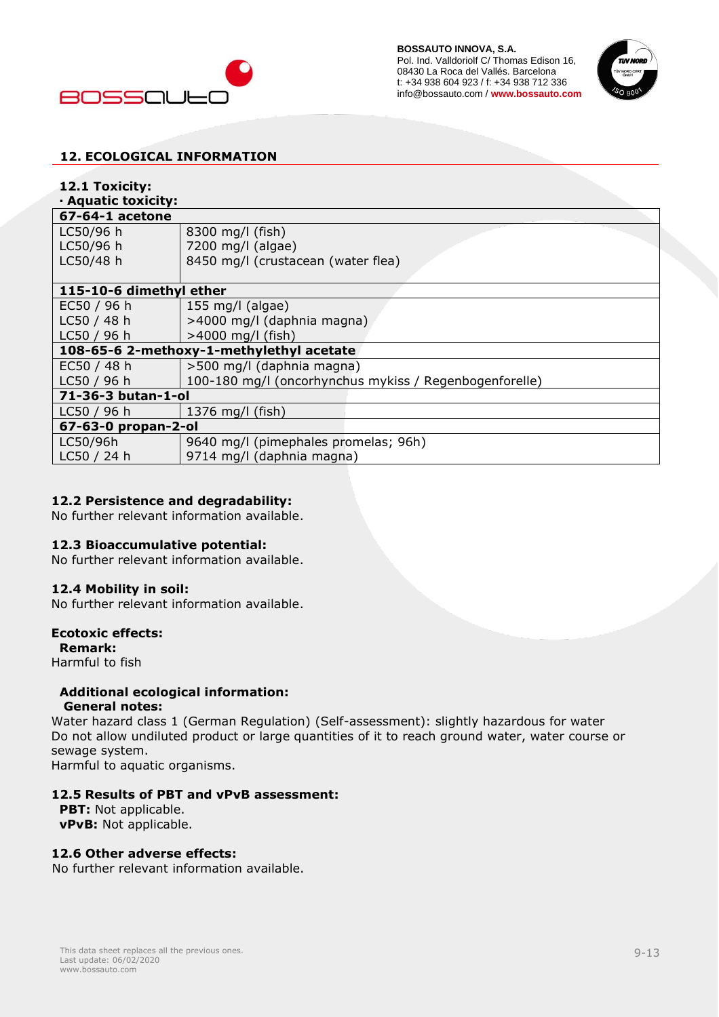



# **12. ECOLOGICAL INFORMATION**

# **12.1 Toxicity:**

#### **· Aquatic toxicity:**

| 67-64-1 acetone  |  |
|------------------|--|
| $1 \cap 50/96$ h |  |

| LC50/96 h   | $  8300$ mg/l (fish)               |  |
|-------------|------------------------------------|--|
| $LC50/96$ h | 7200 mg/l (algae)                  |  |
| $LC50/48$ h | 8450 mg/l (crustacean (water flea) |  |

| 115-10-6 dimethyl ether                  |                                                        |  |
|------------------------------------------|--------------------------------------------------------|--|
| EC50 $/$ 96 h                            | 155 mg/l (algae)                                       |  |
| LC50/48h                                 | >4000 mg/l (daphnia magna)                             |  |
| LC50 / 96 h                              | $>4000$ mg/l (fish)                                    |  |
| 108-65-6 2-methoxy-1-methylethyl acetate |                                                        |  |
| EC50 $/$ 48 h                            | >500 mg/l (daphnia magna)                              |  |
| LC50 / 96 h                              | 100-180 mg/l (oncorhynchus mykiss / Regenbogenforelle) |  |
| 71-36-3 butan-1-ol                       |                                                        |  |
| LC50 / 96 h                              | 1376 mg/l (fish)                                       |  |
| 67-63-0 propan-2-ol                      |                                                        |  |
| LC50/96h                                 | 9640 mg/l (pimephales promelas; 96h)                   |  |
| LC50 / 24 h                              | 9714 mg/l (daphnia magna)                              |  |

## **12.2 Persistence and degradability:**

No further relevant information available.

## **12.3 Bioaccumulative potential:**

No further relevant information available.

## **12.4 Mobility in soil:**

No further relevant information available.

# **Ecotoxic effects:**

 **Remark:**

Harmful to fish

#### **Additional ecological information: General notes:**

Water hazard class 1 (German Regulation) (Self-assessment): slightly hazardous for water Do not allow undiluted product or large quantities of it to reach ground water, water course or sewage system.

Harmful to aquatic organisms.

## **12.5 Results of PBT and vPvB assessment:**

**PBT:** Not applicable.  **vPvB:** Not applicable.

# **12.6 Other adverse effects:**

No further relevant information available.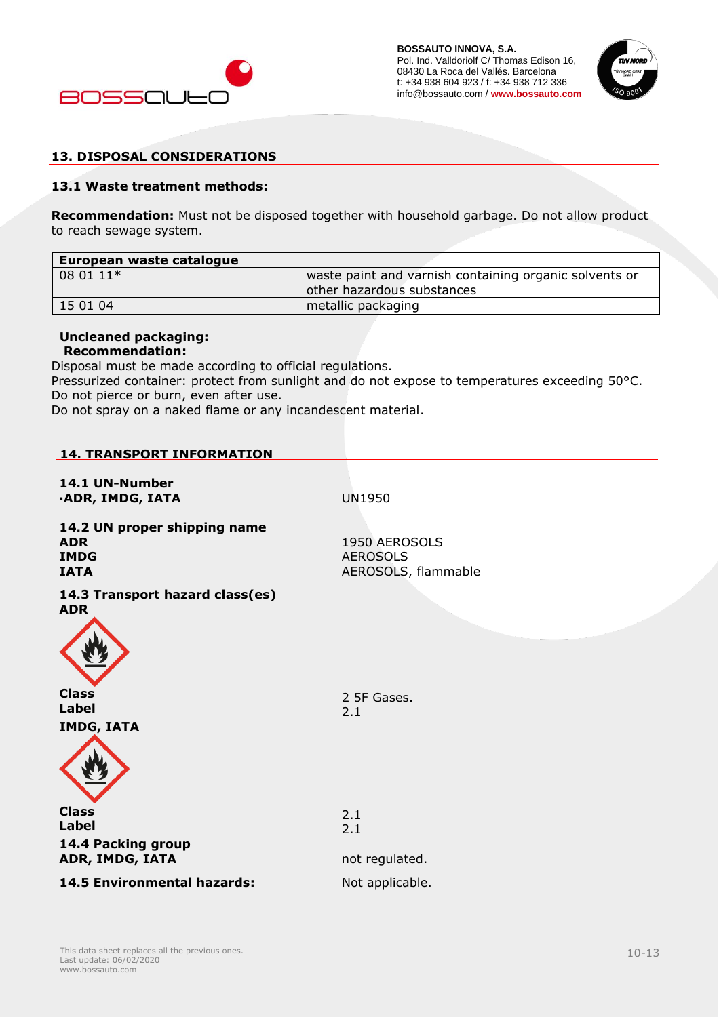



## **13. DISPOSAL CONSIDERATIONS**

#### **13.1 Waste treatment methods:**

**Recommendation:** Must not be disposed together with household garbage. Do not allow product to reach sewage system.

| European waste catalogue |                                                        |
|--------------------------|--------------------------------------------------------|
| 08 01 11*                | waste paint and varnish containing organic solvents or |
|                          | other hazardous substances                             |
| 15 01 04                 | metallic packaging                                     |

# **Uncleaned packaging:**

# **Recommendation:**

Disposal must be made according to official regulations.

Pressurized container: protect from sunlight and do not expose to temperatures exceeding 50°C. Do not pierce or burn, even after use.

Do not spray on a naked flame or any incandescent material.

## **14. TRANSPORT INFORMATION**

**14.1 UN-Number ·ADR, IMDG, IATA** UN1950

**14.2 UN proper shipping name ADR IMDG IATA**

1950 AEROSOLS AEROSOLS AEROSOLS, flammable

**14.3 Transport hazard class(es) ADR**



**Class Label** 2 5F Gases. 2.1



**Label 14.4 Packing group ADR, IMDG, IATA not regulated.** 

**14.5 Environmental hazards:** Not applicable.

2.1 2.1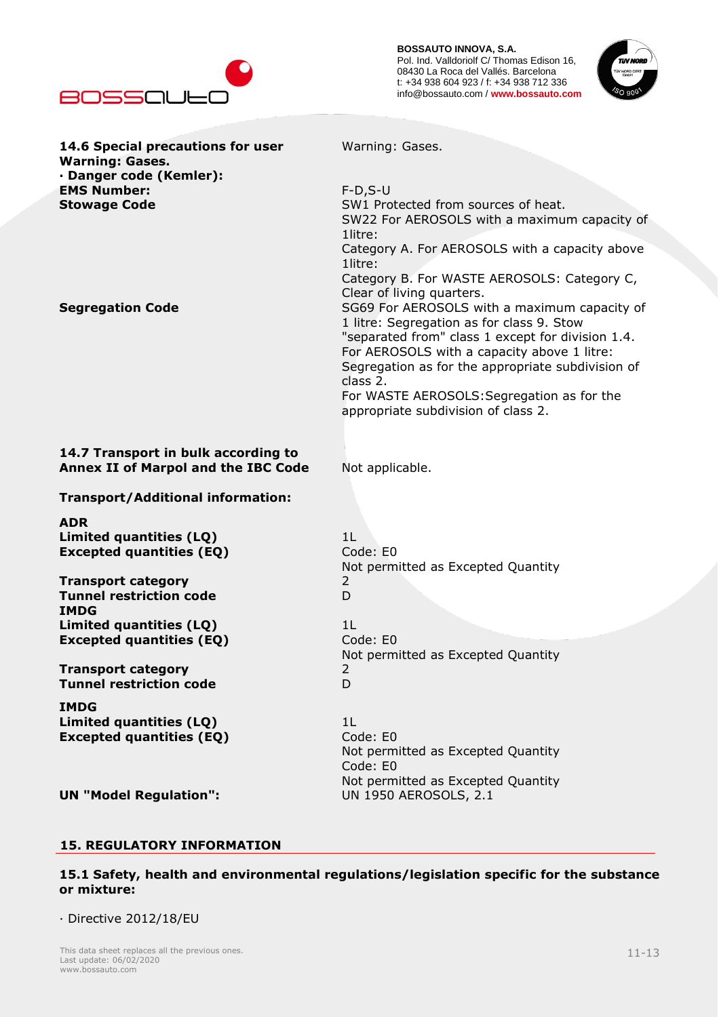



| 14.6 Special precautions for user<br><b>Warning: Gases.</b> | Warning: Gases.                                   |
|-------------------------------------------------------------|---------------------------------------------------|
| · Danger code (Kemler):                                     |                                                   |
| <b>EMS Number:</b>                                          | $F-D, S-U$                                        |
| <b>Stowage Code</b>                                         | SW1 Protected from sources of heat.               |
|                                                             | SW22 For AEROSOLS with a maximum capacity of      |
|                                                             | 1litre:                                           |
|                                                             | Category A. For AEROSOLS with a capacity above    |
|                                                             | 1litre:                                           |
|                                                             | Category B. For WASTE AEROSOLS: Category C,       |
|                                                             | Clear of living quarters.                         |
| <b>Segregation Code</b>                                     | SG69 For AEROSOLS with a maximum capacity of      |
|                                                             | 1 litre: Segregation as for class 9. Stow         |
|                                                             | "separated from" class 1 except for division 1.4. |
|                                                             | For AEROSOLS with a capacity above 1 litre:       |
|                                                             | Segregation as for the appropriate subdivision of |
|                                                             | class 2.                                          |
|                                                             | For WASTE AEROSOLS: Segregation as for the        |
|                                                             | appropriate subdivision of class 2.               |
|                                                             |                                                   |
|                                                             |                                                   |
| 14.7 Transport in bulk according to                         |                                                   |
| <b>Annex II of Marpol and the IBC Code</b>                  | Not applicable.                                   |
|                                                             |                                                   |
| <b>Transport/Additional information:</b>                    |                                                   |
| <b>ADR</b>                                                  |                                                   |
| Limited quantities (LQ)                                     | 1 <sup>L</sup>                                    |
| <b>Excepted quantities (EQ)</b>                             | Code: E0                                          |
|                                                             | Not permitted as Excepted Quantity                |
| <b>Transport category</b>                                   | $\overline{2}$                                    |
| <b>Tunnel restriction code</b>                              | D                                                 |
| <b>IMDG</b>                                                 |                                                   |
| Limited quantities (LQ)                                     | 1 <sup>L</sup>                                    |
| <b>Excepted quantities (EQ)</b>                             | Code: E0                                          |
|                                                             | Not permitted as Excepted Quantity                |
| <b>Transport category</b>                                   | $\overline{2}$                                    |
| <b>Tunnel restriction code</b>                              | D                                                 |
|                                                             |                                                   |
| <b>IMDG</b>                                                 |                                                   |
| Limited quantities (LQ)                                     | 1L                                                |
| <b>Excepted quantities (EQ)</b>                             | Code: E0                                          |
|                                                             | Not permitted as Excepted Quantity                |
|                                                             | Code: E0                                          |
|                                                             | Not permitted as Excepted Quantity                |
| <b>UN "Model Regulation":</b>                               | <b>UN 1950 AEROSOLS, 2.1</b>                      |
|                                                             |                                                   |
|                                                             |                                                   |

# **15. REGULATORY INFORMATION**

**15.1 Safety, health and environmental regulations/legislation specific for the substance or mixture:**

· Directive 2012/18/EU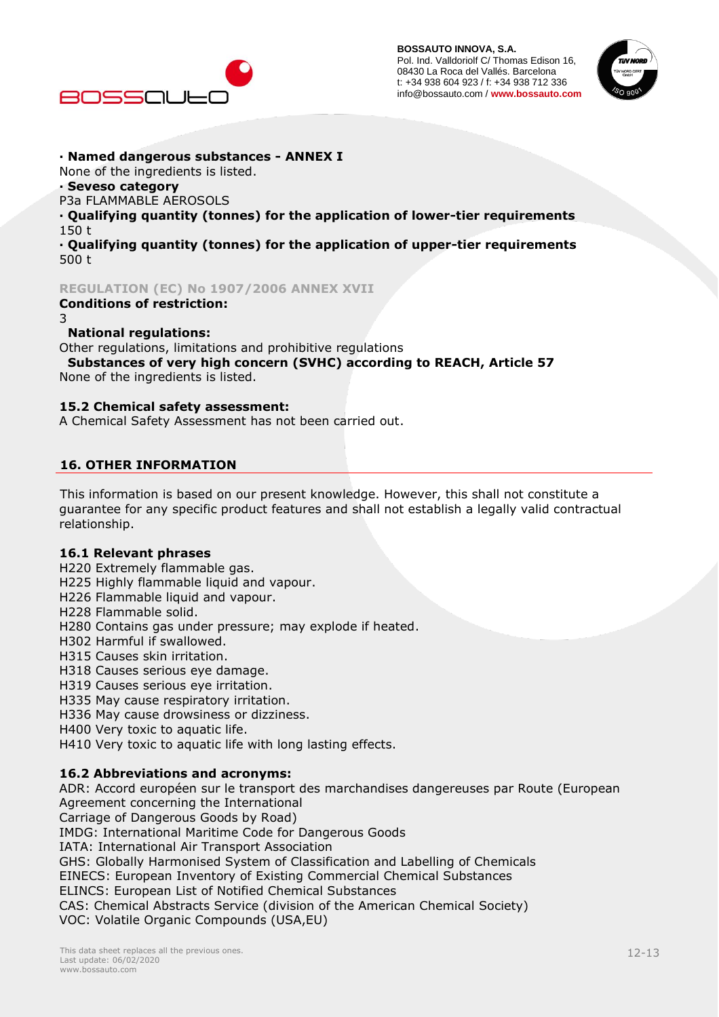



## **· Named dangerous substances - ANNEX I**

None of the ingredients is listed.

#### **· Seveso category**

P3a FLAMMABLE AEROSOLS

**· Qualifying quantity (tonnes) for the application of lower-tier requirements** 150 t

**· Qualifying quantity (tonnes) for the application of upper-tier requirements** 500 t

#### **REGULATION (EC) No 1907/2006 ANNEX XVII**

#### **Conditions of restriction:** 3

#### **National regulations:**

Other regulations, limitations and prohibitive regulations

 **Substances of very high concern (SVHC) according to REACH, Article 57** None of the ingredients is listed.

#### **15.2 Chemical safety assessment:**

A Chemical Safety Assessment has not been carried out.

## **16. OTHER INFORMATION**

This information is based on our present knowledge. However, this shall not constitute a guarantee for any specific product features and shall not establish a legally valid contractual relationship.

## **16.1 Relevant phrases**

- H220 Extremely flammable gas.
- H225 Highly flammable liquid and vapour.
- H226 Flammable liquid and vapour.
- H228 Flammable solid.
- H280 Contains gas under pressure; may explode if heated.
- H302 Harmful if swallowed.
- H315 Causes skin irritation.
- H318 Causes serious eye damage.
- H319 Causes serious eye irritation.
- H335 May cause respiratory irritation.
- H336 May cause drowsiness or dizziness.
- H400 Very toxic to aquatic life.
- H410 Very toxic to aquatic life with long lasting effects.

## **16.2 Abbreviations and acronyms:**

ADR: Accord européen sur le transport des marchandises dangereuses par Route (European Agreement concerning the International Carriage of Dangerous Goods by Road) IMDG: International Maritime Code for Dangerous Goods IATA: International Air Transport Association GHS: Globally Harmonised System of Classification and Labelling of Chemicals EINECS: European Inventory of Existing Commercial Chemical Substances ELINCS: European List of Notified Chemical Substances CAS: Chemical Abstracts Service (division of the American Chemical Society) VOC: Volatile Organic Compounds (USA,EU)